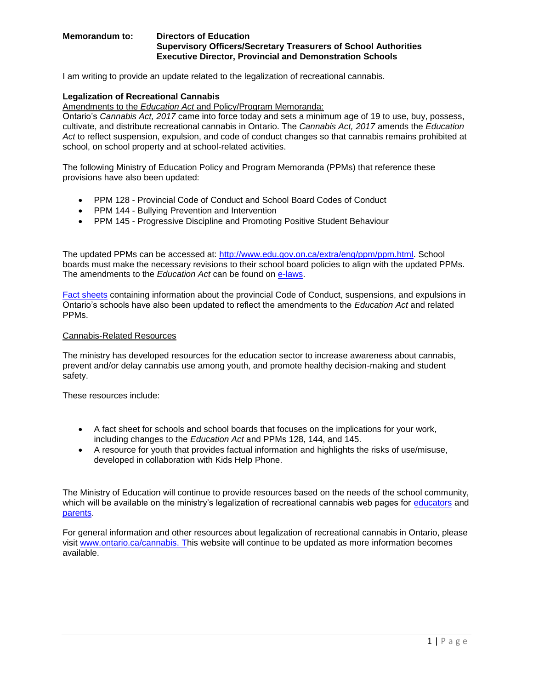#### **Memorandum to: Directors of Education Supervisory Officers/Secretary Treasurers of School Authorities Executive Director, Provincial and Demonstration Schools**

I am writing to provide an update related to the legalization of recreational cannabis.

## **Legalization of Recreational Cannabis**

Amendments to the *Education Act* and Policy/Program Memoranda:

Ontario's *Cannabis Act, 2017* came into force today and sets a minimum age of 19 to use, buy, possess, cultivate, and distribute recreational cannabis in Ontario. The *Cannabis Act, 2017* amends the *Education Act* to reflect suspension, expulsion, and code of conduct changes so that cannabis remains prohibited at school, on school property and at school-related activities.

The following Ministry of Education Policy and Program Memoranda (PPMs) that reference these provisions have also been updated:

- PPM 128 Provincial Code of Conduct and School Board Codes of Conduct
- PPM 144 Bullying Prevention and Intervention
- PPM 145 Progressive Discipline and Promoting Positive Student Behaviour

The updated PPMs can be accessed at: [http://www.edu.gov.on.ca/extra/eng/ppm/ppm.html.](http://www.edu.gov.on.ca/extra/eng/ppm/ppm.html) School boards must make the necessary revisions to their school board policies to align with the updated PPMs. The amendments to the *Education Act* can be found on [e-laws.](https://www.ontario.ca/laws/statute/90e02%23BK565)

[Fact sheets](http://www.edu.gov.on.ca/eng/parents/safeschools.html) containing information about the provincial Code of Conduct, suspensions, and expulsions in Ontario's schools have also been updated to reflect the amendments to the *Education Act* and related PPMs.

#### Cannabis-Related Resources

The ministry has developed resources for the education sector to increase awareness about cannabis, prevent and/or delay cannabis use among youth, and promote healthy decision-making and student safety.

These resources include:

- A fact sheet for schools and school boards that focuses on the implications for your work, including changes to the *Education Act* and PPMs 128, 144, and 145.
- A resource for youth that provides factual information and highlights the risks of use/misuse, developed in collaboration with Kids Help Phone.

The Ministry of Education will continue to provide resources based on the needs of the school community, which will be available on the ministry's legalization of recreational cannabis web pages for [educators](http://www.edu.gov.on.ca/eng/healthyschools/educators-resources.html) and [parents.](http://www.edu.gov.on.ca/eng/healthyschools/parents-resources.html)

For general information and other resources about legalization of recreational cannabis in Ontario, please visit [www.ontario.ca/cannabis.](http://www.ontario.ca/cannabis) This website will continue to be updated as more information becomes available.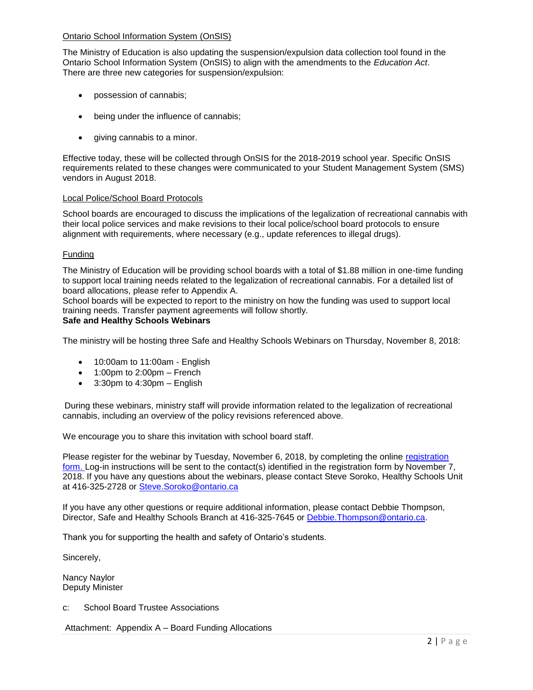### Ontario School Information System (OnSIS)

The Ministry of Education is also updating the suspension/expulsion data collection tool found in the Ontario School Information System (OnSIS) to align with the amendments to the *Education Act*. There are three new categories for suspension/expulsion:

- possession of cannabis;
- being under the influence of cannabis;
- giving cannabis to a minor.

Effective today, these will be collected through OnSIS for the 2018-2019 school year. Specific OnSIS requirements related to these changes were communicated to your Student Management System (SMS) vendors in August 2018.

### Local Police/School Board Protocols

School boards are encouraged to discuss the implications of the legalization of recreational cannabis with their local police services and make revisions to their local police/school board protocols to ensure alignment with requirements, where necessary (e.g., update references to illegal drugs).

# Funding

The Ministry of Education will be providing school boards with a total of \$1.88 million in one-time funding to support local training needs related to the legalization of recreational cannabis. For a detailed list of board allocations, please refer to Appendix A.

School boards will be expected to report to the ministry on how the funding was used to support local training needs. Transfer payment agreements will follow shortly.

### **Safe and Healthy Schools Webinars**

The ministry will be hosting three Safe and Healthy Schools Webinars on Thursday, November 8, 2018:

- 10:00am to 11:00am English
- $\bullet$  1:00pm to 2:00pm French
- 3:30pm to 4:30pm English

During these webinars, ministry staff will provide information related to the legalization of recreational cannabis, including an overview of the policy revisions referenced above.

We encourage you to share this invitation with school board staff.

Please register for the webinar by Tuesday, November 6, 2018, by completing the online [registration](https://goo.gl/forms/9zK9uQRj4kIZ1NFM2)  [form.](https://goo.gl/forms/9zK9uQRj4kIZ1NFM2) Log-in instructions will be sent to the contact(s) identified in the registration form by November 7, 2018. If you have any questions about the webinars, please contact Steve Soroko, Healthy Schools Unit at 416-325-2728 or [Steve.Soroko@ontario.ca](mailto:Steve.Soroko@ontario.ca)

If you have any other questions or require additional information, please contact Debbie Thompson, Director, Safe and Healthy Schools Branch at 416-325-7645 or [Debbie.Thompson@ontario.ca.](mailto:Debbie.Thompson@ontario.ca)

Thank you for supporting the health and safety of Ontario's students.

Sincerely,

Nancy Naylor Deputy Minister

c: School Board Trustee Associations

Attachment: Appendix A – Board Funding Allocations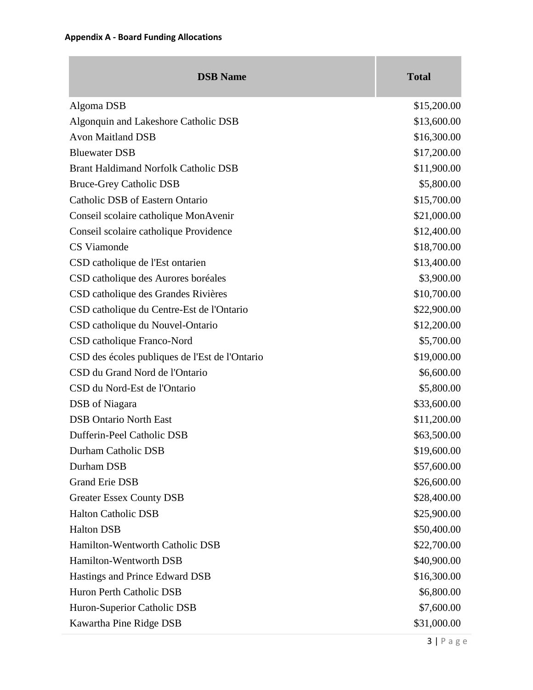| <b>DSB</b> Name                                | <b>Total</b> |
|------------------------------------------------|--------------|
| Algoma DSB                                     | \$15,200.00  |
| Algonquin and Lakeshore Catholic DSB           | \$13,600.00  |
| <b>Avon Maitland DSB</b>                       | \$16,300.00  |
| <b>Bluewater DSB</b>                           | \$17,200.00  |
| <b>Brant Haldimand Norfolk Catholic DSB</b>    | \$11,900.00  |
| <b>Bruce-Grey Catholic DSB</b>                 | \$5,800.00   |
| Catholic DSB of Eastern Ontario                | \$15,700.00  |
| Conseil scolaire catholique MonAvenir          | \$21,000.00  |
| Conseil scolaire catholique Providence         | \$12,400.00  |
| CS Viamonde                                    | \$18,700.00  |
| CSD catholique de l'Est ontarien               | \$13,400.00  |
| CSD catholique des Aurores boréales            | \$3,900.00   |
| CSD catholique des Grandes Rivières            | \$10,700.00  |
| CSD catholique du Centre-Est de l'Ontario      | \$22,900.00  |
| CSD catholique du Nouvel-Ontario               | \$12,200.00  |
| CSD catholique Franco-Nord                     | \$5,700.00   |
| CSD des écoles publiques de l'Est de l'Ontario | \$19,000.00  |
| CSD du Grand Nord de l'Ontario                 | \$6,600.00   |
| CSD du Nord-Est de l'Ontario                   | \$5,800.00   |
| DSB of Niagara                                 | \$33,600.00  |
| <b>DSB Ontario North East</b>                  | \$11,200.00  |
| Dufferin-Peel Catholic DSB                     | \$63,500.00  |
| Durham Catholic DSB                            | \$19,600.00  |
| Durham DSB                                     | \$57,600.00  |
| <b>Grand Erie DSB</b>                          | \$26,600.00  |
| <b>Greater Essex County DSB</b>                | \$28,400.00  |
| <b>Halton Catholic DSB</b>                     | \$25,900.00  |
| <b>Halton DSB</b>                              | \$50,400.00  |
| Hamilton-Wentworth Catholic DSB                | \$22,700.00  |
| Hamilton-Wentworth DSB                         | \$40,900.00  |
| Hastings and Prince Edward DSB                 | \$16,300.00  |
| Huron Perth Catholic DSB                       | \$6,800.00   |
| Huron-Superior Catholic DSB                    | \$7,600.00   |
| Kawartha Pine Ridge DSB                        | \$31,000.00  |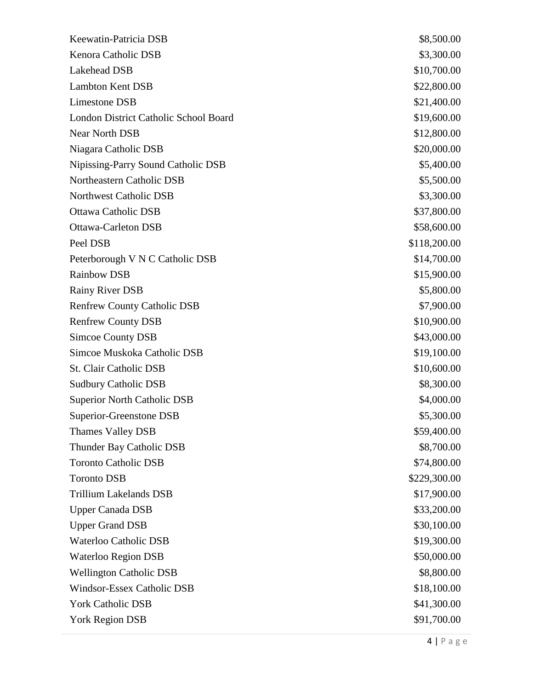| Keewatin-Patricia DSB                 | \$8,500.00   |
|---------------------------------------|--------------|
| Kenora Catholic DSB                   | \$3,300.00   |
| Lakehead DSB                          | \$10,700.00  |
| <b>Lambton Kent DSB</b>               | \$22,800.00  |
| Limestone DSB                         | \$21,400.00  |
| London District Catholic School Board | \$19,600.00  |
| Near North DSB                        | \$12,800.00  |
| Niagara Catholic DSB                  | \$20,000.00  |
| Nipissing-Parry Sound Catholic DSB    | \$5,400.00   |
| Northeastern Catholic DSB             | \$5,500.00   |
| Northwest Catholic DSB                | \$3,300.00   |
| <b>Ottawa Catholic DSB</b>            | \$37,800.00  |
| <b>Ottawa-Carleton DSB</b>            | \$58,600.00  |
| Peel DSB                              | \$118,200.00 |
| Peterborough V N C Catholic DSB       | \$14,700.00  |
| <b>Rainbow DSB</b>                    | \$15,900.00  |
| <b>Rainy River DSB</b>                | \$5,800.00   |
| <b>Renfrew County Catholic DSB</b>    | \$7,900.00   |
| <b>Renfrew County DSB</b>             | \$10,900.00  |
| Simcoe County DSB                     | \$43,000.00  |
| Simcoe Muskoka Catholic DSB           | \$19,100.00  |
| <b>St. Clair Catholic DSB</b>         | \$10,600.00  |
| <b>Sudbury Catholic DSB</b>           | \$8,300.00   |
| <b>Superior North Catholic DSB</b>    | \$4,000.00   |
| Superior-Greenstone DSB               | \$5,300.00   |
| <b>Thames Valley DSB</b>              | \$59,400.00  |
| Thunder Bay Catholic DSB              | \$8,700.00   |
| <b>Toronto Catholic DSB</b>           | \$74,800.00  |
| <b>Toronto DSB</b>                    | \$229,300.00 |
| <b>Trillium Lakelands DSB</b>         | \$17,900.00  |
| <b>Upper Canada DSB</b>               | \$33,200.00  |
| <b>Upper Grand DSB</b>                | \$30,100.00  |
| <b>Waterloo Catholic DSB</b>          | \$19,300.00  |
| <b>Waterloo Region DSB</b>            | \$50,000.00  |
| <b>Wellington Catholic DSB</b>        | \$8,800.00   |
| <b>Windsor-Essex Catholic DSB</b>     | \$18,100.00  |
| <b>York Catholic DSB</b>              | \$41,300.00  |
| <b>York Region DSB</b>                | \$91,700.00  |